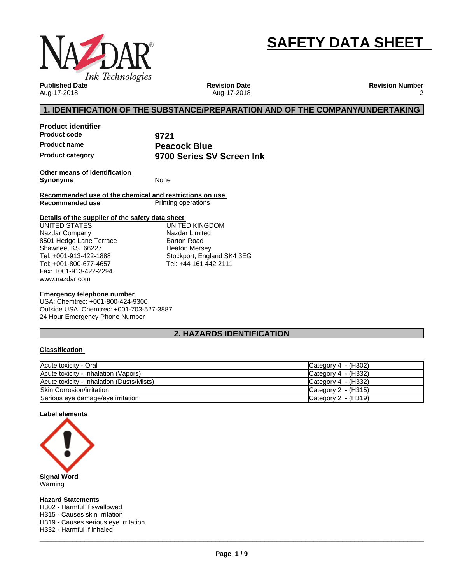



**Published Date** Aug-17-2018

**Revision Date** Aug-17-2018 **Revision Number** 2

# **1. IDENTIFICATION OF THE SUBSTANCE/PREPARATION AND OF THE COMPANY/UNDERTAKING**

**Product identifier Product code 9721**

**Product name**<br> **Peacock Blue**<br> **Product category**<br> **PRODIS SETTLE STARK Product category 9700 Series SV Screen Ink**

**Other means of identification Synonyms** None

**Recommended use of the chemical and restrictions on use Printing operations** 

## **Details of the supplier of the safety data sheet**

www.nazdar.com UNITED STATES Nazdar Company 8501 Hedge Lane Terrace Shawnee, KS 66227 Tel: +001-913-422-1888 Tel: +001-800-677-4657 Fax: +001-913-422-2294

UNITED KINGDOM Nazdar Limited Barton Road Heaton Mersey Stockport, England SK4 3EG Tel: +44 161 442 2111

### **Emergency telephone number**

USA: Chemtrec: +001-800-424-9300 Outside USA: Chemtrec: +001-703-527-3887 24 Hour Emergency Phone Number

# **2. HAZARDS IDENTIFICATION**

## **Classification**

| Acute toxicity - Oral                     | Category 4 $-$ (H302) |
|-------------------------------------------|-----------------------|
| Acute toxicity - Inhalation (Vapors)      | Category $4 - (H332)$ |
| Acute toxicity - Inhalation (Dusts/Mists) | Category 4 $-$ (H332) |
| <b>Skin Corrosion/irritation</b>          | Category $2 - (H315)$ |
| Serious eye damage/eye irritation         | Category $2 - (H319)$ |

## **Label elements**



Warning

**Hazard Statements** H302 - Harmful if swallowed H315 - Causes skin irritation H319 - Causes serious eye irritation H332 - Harmful if inhaled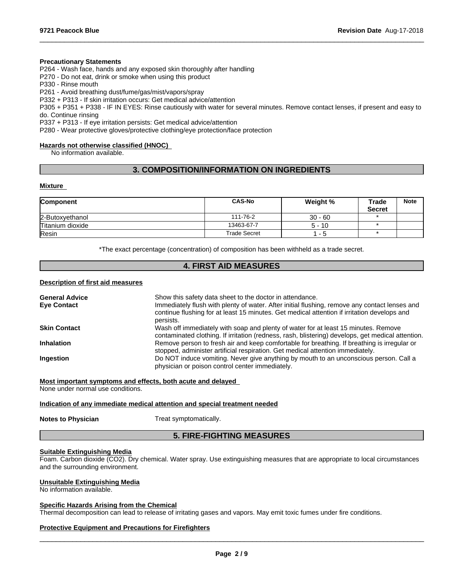#### **Precautionary Statements**

P264 - Wash face, hands and any exposed skin thoroughly after handling

P270 - Do not eat, drink or smoke when using this product

P330 - Rinse mouth

P261 - Avoid breathing dust/fume/gas/mist/vapors/spray

P332 + P313 - If skin irritation occurs: Get medical advice/attention

P305 + P351 + P338 - IF IN EYES: Rinse cautiously with water forseveral minutes. Remove contact lenses, if present and easy to do. Continue rinsing

 $\_$  ,  $\_$  ,  $\_$  ,  $\_$  ,  $\_$  ,  $\_$  ,  $\_$  ,  $\_$  ,  $\_$  ,  $\_$  ,  $\_$  ,  $\_$  ,  $\_$  ,  $\_$  ,  $\_$  ,  $\_$  ,  $\_$  ,  $\_$  ,  $\_$  ,  $\_$  ,  $\_$  ,  $\_$  ,  $\_$  ,  $\_$  ,  $\_$  ,  $\_$  ,  $\_$  ,  $\_$  ,  $\_$  ,  $\_$  ,  $\_$  ,  $\_$  ,  $\_$  ,  $\_$  ,  $\_$  ,  $\_$  ,  $\_$  ,

P337 + P313 - If eye irritation persists: Get medical advice/attention

P280 - Wear protective gloves/protective clothing/eye protection/face protection

## **Hazards not otherwise classified (HNOC)**

No information available.

## **3. COMPOSITION/INFORMATION ON INGREDIENTS**

#### **Mixture**

| <b>Component</b> | <b>CAS-No</b> | Weight %  | Trade         | <b>Note</b> |
|------------------|---------------|-----------|---------------|-------------|
|                  |               |           | <b>Secret</b> |             |
| 2-Butoxyethanol  | 111-76-2      | $30 - 60$ |               |             |
| Titanium dioxide | 13463-67-7    | $5 - 10$  |               |             |
| Resin            | Trade Secret  | -5        |               |             |

\*The exact percentage (concentration) of composition has been withheld as a trade secret.

## **4. FIRST AID MEASURES**

#### **Description of first aid measures**

| <b>General Advice</b> | Show this safety data sheet to the doctor in attendance.                                                                                                                                                  |
|-----------------------|-----------------------------------------------------------------------------------------------------------------------------------------------------------------------------------------------------------|
| <b>Eye Contact</b>    | Immediately flush with plenty of water. After initial flushing, remove any contact lenses and<br>continue flushing for at least 15 minutes. Get medical attention if irritation develops and<br>persists. |
| <b>Skin Contact</b>   | Wash off immediately with soap and plenty of water for at least 15 minutes. Remove<br>contaminated clothing. If irritation (redness, rash, blistering) develops, get medical attention.                   |
| <b>Inhalation</b>     | Remove person to fresh air and keep comfortable for breathing. If breathing is irregular or<br>stopped, administer artificial respiration. Get medical attention immediately.                             |
| <b>Ingestion</b>      | Do NOT induce vomiting. Never give anything by mouth to an unconscious person. Call a<br>physician or poison control center immediately.                                                                  |

## **Most important symptoms and effects, both acute and delayed**

None under normal use conditions.

## **Indication of any immediate medical attention and special treatment needed**

**Notes to Physician** Treat symptomatically.

## **5. FIRE-FIGHTING MEASURES**

## **Suitable Extinguishing Media**

Foam. Carbon dioxide (CO2). Dry chemical. Water spray. Use extinguishing measures that are appropriate to local circumstances and the surrounding environment.

#### **Unsuitable Extinguishing Media**

No information available.

## **Specific Hazards Arising from the Chemical**

Thermal decomposition can lead to release of irritating gases and vapors. May emit toxic fumes under fire conditions.

## **Protective Equipment and Precautions for Firefighters**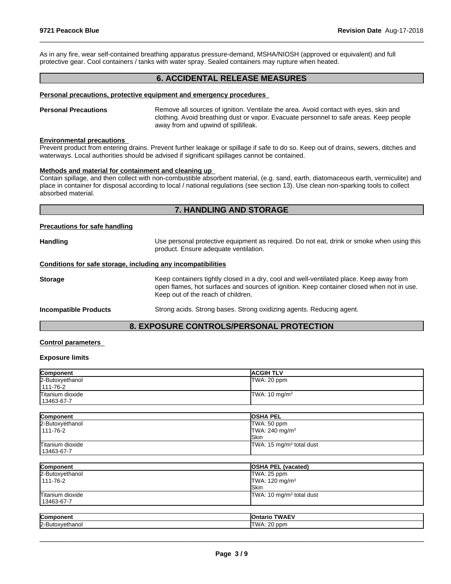As in any fire, wear self-contained breathing apparatus pressure-demand, MSHA/NIOSH (approved or equivalent) and full protective gear. Cool containers / tanks with water spray. Sealed containers may rupture when heated.

## **6. ACCIDENTAL RELEASE MEASURES**

 $\_$  ,  $\_$  ,  $\_$  ,  $\_$  ,  $\_$  ,  $\_$  ,  $\_$  ,  $\_$  ,  $\_$  ,  $\_$  ,  $\_$  ,  $\_$  ,  $\_$  ,  $\_$  ,  $\_$  ,  $\_$  ,  $\_$  ,  $\_$  ,  $\_$  ,  $\_$  ,  $\_$  ,  $\_$  ,  $\_$  ,  $\_$  ,  $\_$  ,  $\_$  ,  $\_$  ,  $\_$  ,  $\_$  ,  $\_$  ,  $\_$  ,  $\_$  ,  $\_$  ,  $\_$  ,  $\_$  ,  $\_$  ,  $\_$  ,

#### **Personal precautions, protective equipment and emergency procedures**

**Personal Precautions** Remove all sources of ignition. Ventilate the area. Avoid contact with eyes, skin and clothing. Avoid breathing dust or vapor. Evacuate personnel to safe areas. Keep people away from and upwind of spill/leak.

#### **Environmental precautions**

Prevent product from entering drains. Prevent further leakage or spillage if safe to do so. Keep out of drains, sewers, ditches and waterways. Local authorities should be advised if significant spillages cannot be contained.

#### **Methods and material for containment and cleaning up**

Contain spillage, and then collectwith non-combustible absorbent material, (e.g. sand, earth, diatomaceous earth, vermiculite) and place in container for disposal according to local / national regulations (see section 13). Use clean non-sparking tools to collect absorbed material.

## **7. HANDLING AND STORAGE**

#### **Precautions for safe handling**

| Handling                                                     | Use personal protective equipment as required. Do not eat, drink or smoke when using this<br>product. Ensure adequate ventilation.                                                                                         |  |
|--------------------------------------------------------------|----------------------------------------------------------------------------------------------------------------------------------------------------------------------------------------------------------------------------|--|
| Conditions for safe storage, including any incompatibilities |                                                                                                                                                                                                                            |  |
| Storage                                                      | Keep containers tightly closed in a dry, cool and well-ventilated place. Keep away from<br>open flames, hot surfaces and sources of ignition. Keep container closed when not in use.<br>Keep out of the reach of children. |  |
| <b>Incompatible Products</b>                                 | Strong acids. Strong bases. Strong oxidizing agents. Reducing agent.                                                                                                                                                       |  |

## **8. EXPOSURE CONTROLS/PERSONAL PROTECTION**

#### **Control parameters**

#### **Exposure limits**

| Component        | <b>IACGIH TLV</b>        |
|------------------|--------------------------|
| 2-Butoxyethanol  | TWA: 20 ppm              |
| $1111 - 76 - 2$  |                          |
| Titanium dioxide | TWA: $10 \text{ mg/m}^3$ |
| 13463-67-7       |                          |

| Component        | <b>OSHA PEL</b>                      |
|------------------|--------------------------------------|
| 2-Butoxyethanol  | TWA: 50 ppm                          |
| 111-76-2         | $TWA: 240$ mg/m <sup>3</sup>         |
|                  | <b>ISkin</b>                         |
| Titanium dioxide | TWA: 15 mg/m <sup>3</sup> total dust |
| 13463-67-7       |                                      |

| Component        | <b>OSHA PEL (vacated)</b>            |
|------------------|--------------------------------------|
| 2-Butoxyethanol  | TWA: 25 ppm                          |
| 111-76-2         | TWA: $120 \text{ mg/m}^3$            |
|                  | lSkin                                |
| Titanium dioxide | TWA: 10 mg/m <sup>3</sup> total dust |
| 13463-67-7       |                                      |

| Comr            | <b>TWAFV</b><br><b>TRACK</b><br>− –             |
|-----------------|-------------------------------------------------|
| 12-Bu<br>ianol. | $\sim$ $\sim$<br>'TWA<br>ppm<br>$\cdots$<br>. . |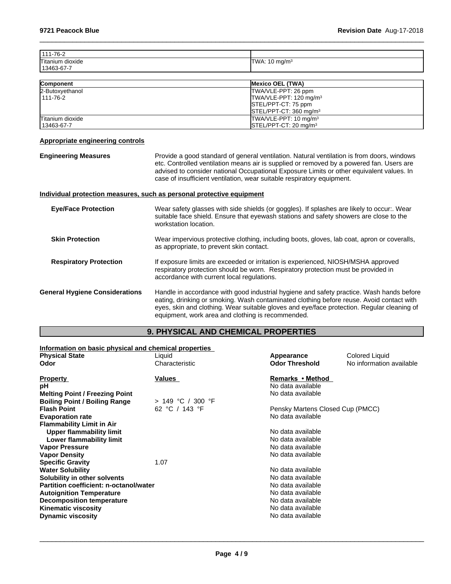| 111-76-2         |                          |
|------------------|--------------------------|
| Titanium dioxide | TWA: $10 \text{ mg/m}^3$ |
| 13463-67-7       |                          |

 $\_$  ,  $\_$  ,  $\_$  ,  $\_$  ,  $\_$  ,  $\_$  ,  $\_$  ,  $\_$  ,  $\_$  ,  $\_$  ,  $\_$  ,  $\_$  ,  $\_$  ,  $\_$  ,  $\_$  ,  $\_$  ,  $\_$  ,  $\_$  ,  $\_$  ,  $\_$  ,  $\_$  ,  $\_$  ,  $\_$  ,  $\_$  ,  $\_$  ,  $\_$  ,  $\_$  ,  $\_$  ,  $\_$  ,  $\_$  ,  $\_$  ,  $\_$  ,  $\_$  ,  $\_$  ,  $\_$  ,  $\_$  ,  $\_$  ,

| Component        | Mexico OEL (TWA)                             |
|------------------|----------------------------------------------|
| 2-Butoxyethanol  | TWA/VLE-PPT: 26 ppm                          |
| 1111-76-2        | TWA/VLE-PPT: 120 mg/m <sup>3</sup>           |
|                  | STEL/PPT-CT: 75 ppm                          |
|                  | $\textsf{ISTEL/PPT-CT: } 360 \text{ mg/m}^3$ |
| Titanium dioxide | $TWA/VLE-PPT: 10 mg/m3$                      |
| l 13463-67-7     | $\textsf{ISTEL/PPT-CT: 20 mq/m}^3$           |

## **Appropriate engineering controls**

| <b>Engineering Measures</b>           | Provide a good standard of general ventilation. Natural ventilation is from doors, windows<br>etc. Controlled ventilation means air is supplied or removed by a powered fan. Users are<br>advised to consider national Occupational Exposure Limits or other equivalent values. In<br>case of insufficient ventilation, wear suitable respiratory equipment. |
|---------------------------------------|--------------------------------------------------------------------------------------------------------------------------------------------------------------------------------------------------------------------------------------------------------------------------------------------------------------------------------------------------------------|
|                                       | Individual protection measures, such as personal protective equipment                                                                                                                                                                                                                                                                                        |
| <b>Eye/Face Protection</b>            | Wear safety glasses with side shields (or goggles). If splashes are likely to occur:. Wear<br>suitable face shield. Ensure that eyewash stations and safety showers are close to the<br>workstation location.                                                                                                                                                |
| <b>Skin Protection</b>                | Wear impervious protective clothing, including boots, gloves, lab coat, apron or coveralls,<br>as appropriate, to prevent skin contact.                                                                                                                                                                                                                      |
| <b>Respiratory Protection</b>         | If exposure limits are exceeded or irritation is experienced, NIOSH/MSHA approved<br>respiratory protection should be worn. Respiratory protection must be provided in<br>accordance with current local regulations.                                                                                                                                         |
| <b>General Hygiene Considerations</b> | Handle in accordance with good industrial hygiene and safety practice. Wash hands before<br>eating, drinking or smoking. Wash contaminated clothing before reuse. Avoid contact with<br>eyes, skin and clothing. Wear suitable gloves and eye/face protection. Regular cleaning of<br>equipment, work area and clothing is recommended.                      |

# **9. PHYSICAL AND CHEMICAL PROPERTIES**

| Information on basic physical and chemical properties |                     |                                  |                          |
|-------------------------------------------------------|---------------------|----------------------------------|--------------------------|
| <b>Physical State</b>                                 | Liquid              | Appearance                       | Colored Liquid           |
| Odor                                                  | Characteristic      | <b>Odor Threshold</b>            | No information available |
| <b>Property</b>                                       | Values              | Remarks • Method                 |                          |
| рH                                                    |                     | No data available                |                          |
| <b>Melting Point / Freezing Point</b>                 |                     | No data available                |                          |
| <b>Boiling Point / Boiling Range</b>                  | $> 149$ °C / 300 °F |                                  |                          |
| <b>Flash Point</b>                                    | 62 °C / 143 °F      | Pensky Martens Closed Cup (PMCC) |                          |
| <b>Evaporation rate</b>                               |                     | No data available                |                          |
| <b>Flammability Limit in Air</b>                      |                     |                                  |                          |
| Upper flammability limit                              |                     | No data available                |                          |
| Lower flammability limit                              |                     | No data available                |                          |
| <b>Vapor Pressure</b>                                 |                     | No data available                |                          |
| <b>Vapor Density</b>                                  |                     | No data available                |                          |
| <b>Specific Gravity</b>                               | 1.07                |                                  |                          |
| <b>Water Solubility</b>                               |                     | No data available                |                          |
| Solubility in other solvents                          |                     | No data available                |                          |
| Partition coefficient: n-octanol/water                |                     | No data available                |                          |
| <b>Autoignition Temperature</b>                       |                     | No data available                |                          |
| <b>Decomposition temperature</b>                      |                     | No data available                |                          |
| <b>Kinematic viscosity</b>                            |                     | No data available                |                          |
| <b>Dynamic viscosity</b>                              |                     | No data available                |                          |
|                                                       |                     |                                  |                          |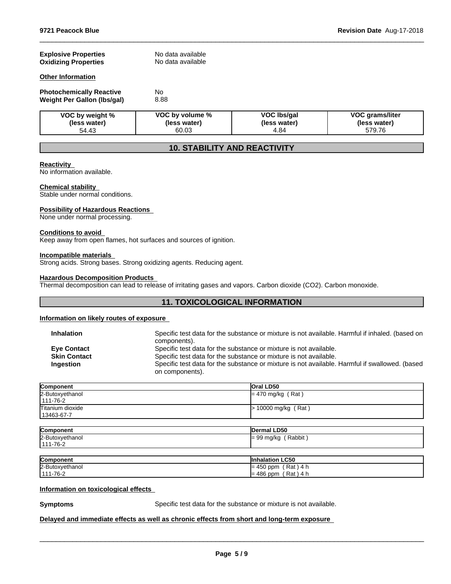| <b>Explosive Properties</b><br><b>Oxidizing Properties</b>     | No data available<br>No data available   |                                            |                                                  |
|----------------------------------------------------------------|------------------------------------------|--------------------------------------------|--------------------------------------------------|
| <b>Other Information</b>                                       |                                          |                                            |                                                  |
| <b>Photochemically Reactive</b><br>Weight Per Gallon (Ibs/gal) | No<br>8.88                               |                                            |                                                  |
| VOC by weight %<br>(less water)<br>54.43                       | VOC by volume %<br>(less water)<br>60.03 | <b>VOC Ibs/gal</b><br>(less water)<br>4.84 | <b>VOC grams/liter</b><br>(less water)<br>579.76 |

 $\_$  ,  $\_$  ,  $\_$  ,  $\_$  ,  $\_$  ,  $\_$  ,  $\_$  ,  $\_$  ,  $\_$  ,  $\_$  ,  $\_$  ,  $\_$  ,  $\_$  ,  $\_$  ,  $\_$  ,  $\_$  ,  $\_$  ,  $\_$  ,  $\_$  ,  $\_$  ,  $\_$  ,  $\_$  ,  $\_$  ,  $\_$  ,  $\_$  ,  $\_$  ,  $\_$  ,  $\_$  ,  $\_$  ,  $\_$  ,  $\_$  ,  $\_$  ,  $\_$  ,  $\_$  ,  $\_$  ,  $\_$  ,  $\_$  ,

# **10. STABILITY AND REACTIVITY**

## **Reactivity**

No information available.

#### **Chemical stability**

Stable under normal conditions.

#### **Possibility of Hazardous Reactions**

None under normal processing.

#### **Conditions to avoid**

Keep away from open flames, hot surfaces and sources of ignition.

## **Incompatible materials**

Strong acids. Strong bases. Strong oxidizing agents. Reducing agent.

#### **Hazardous Decomposition Products**

Thermal decomposition can lead to release of irritating gases and vapors. Carbon dioxide (CO2). Carbon monoxide.

## **11. TOXICOLOGICAL INFORMATION**

## **Information on likely routes of exposure**

| <b>Inhalation</b>   | Specific test data for the substance or mixture is not available. Harmful if inhaled. (based on |
|---------------------|-------------------------------------------------------------------------------------------------|
|                     | components).                                                                                    |
| <b>Eve Contact</b>  | Specific test data for the substance or mixture is not available.                               |
| <b>Skin Contact</b> | Specific test data for the substance or mixture is not available.                               |
| <b>Ingestion</b>    | Specific test data for the substance or mixture is not available. Harmful if swallowed. (based  |
|                     | on components).                                                                                 |
|                     |                                                                                                 |

| Component                        | <b>Oral LD50</b>      |
|----------------------------------|-----------------------|
| 2-Butoxyethanol<br>111-76-2      | $= 470$ mg/kg (Rat)   |
| Titanium dioxide<br>  13463-67-7 | $> 10000$ mg/kg (Rat) |

| Component       | Dermal LD50  |
|-----------------|--------------|
| 2-Butoxyethanol | Rabbit       |
| $111 - 76 - 2$  | $= 99$ mg/kg |

| Component           | <b>LC50</b><br>·naiatioi.           |
|---------------------|-------------------------------------|
| 2-Butoxyethanol     | 4<br>Rat<br>$-1$<br>ppm<br>40U<br>ᅲ |
| $1 - 76 - 2$<br>444 | Rat<br>$\overline{4}$<br>486<br>ppm |

#### **Information on toxicological effects**

**Symptoms** Specific test data for the substance or mixture is not available.

 $\_$  ,  $\_$  ,  $\_$  ,  $\_$  ,  $\_$  ,  $\_$  ,  $\_$  ,  $\_$  ,  $\_$  ,  $\_$  ,  $\_$  ,  $\_$  ,  $\_$  ,  $\_$  ,  $\_$  ,  $\_$  ,  $\_$  ,  $\_$  ,  $\_$  ,  $\_$  ,  $\_$  ,  $\_$  ,  $\_$  ,  $\_$  ,  $\_$  ,  $\_$  ,  $\_$  ,  $\_$  ,  $\_$  ,  $\_$  ,  $\_$  ,  $\_$  ,  $\_$  ,  $\_$  ,  $\_$  ,  $\_$  ,  $\_$  ,

## **Delayed and immediate effects as well as chronic effects from short and long-term exposure**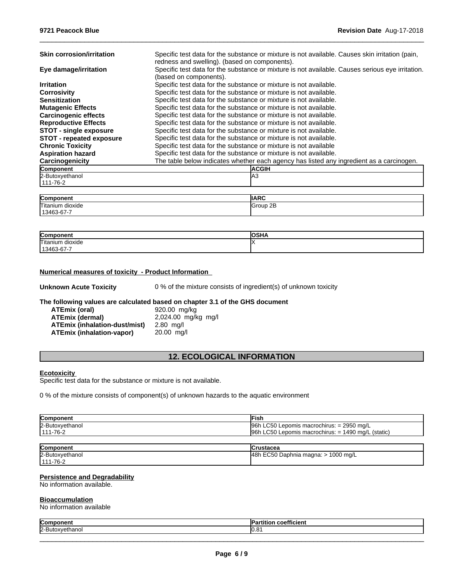| <b>Skin corrosion/irritation</b> | Specific test data for the substance or mixture is not available. Causes skin irritation (pain,<br>redness and swelling). (based on components). |
|----------------------------------|--------------------------------------------------------------------------------------------------------------------------------------------------|
| Eye damage/irritation            | Specific test data for the substance or mixture is not available. Causes serious eye irritation.<br>(based on components).                       |
| <b>Irritation</b>                | Specific test data for the substance or mixture is not available.                                                                                |
| <b>Corrosivity</b>               | Specific test data for the substance or mixture is not available.                                                                                |
| <b>Sensitization</b>             | Specific test data for the substance or mixture is not available.                                                                                |
| <b>Mutagenic Effects</b>         | Specific test data for the substance or mixture is not available.                                                                                |
| <b>Carcinogenic effects</b>      | Specific test data for the substance or mixture is not available.                                                                                |
| <b>Reproductive Effects</b>      | Specific test data for the substance or mixture is not available.                                                                                |
| <b>STOT - single exposure</b>    | Specific test data for the substance or mixture is not available.                                                                                |
| <b>STOT - repeated exposure</b>  | Specific test data for the substance or mixture is not available.                                                                                |
| <b>Chronic Toxicity</b>          | Specific test data for the substance or mixture is not available                                                                                 |
| <b>Aspiration hazard</b>         | Specific test data for the substance or mixture is not available.                                                                                |
| Carcinogenicity                  | The table below indicates whether each agency has listed any ingredient as a carcinogen.                                                         |
| Component                        | <b>ACGIH</b>                                                                                                                                     |
| 2-Butoxyethanol                  | IA3                                                                                                                                              |
| 111-76-2                         |                                                                                                                                                  |

 $\_$  ,  $\_$  ,  $\_$  ,  $\_$  ,  $\_$  ,  $\_$  ,  $\_$  ,  $\_$  ,  $\_$  ,  $\_$  ,  $\_$  ,  $\_$  ,  $\_$  ,  $\_$  ,  $\_$  ,  $\_$  ,  $\_$  ,  $\_$  ,  $\_$  ,  $\_$  ,  $\_$  ,  $\_$  ,  $\_$  ,  $\_$  ,  $\_$  ,  $\_$  ,  $\_$  ,  $\_$  ,  $\_$  ,  $\_$  ,  $\_$  ,  $\_$  ,  $\_$  ,  $\_$  ,  $\_$  ,  $\_$  ,  $\_$  ,

| הו<br>`∩n<br>""<br>טשו     | <b>IIARC</b>                      |
|----------------------------|-----------------------------------|
| <b>Titaniur</b><br>dioxide | 2E<br>$^{\circ}$ roup $_{\prime}$ |
| $\sim$ $-$<br>3463-67-7    |                                   |

| Compon              | <b>AAIIA</b><br>≀וכ |
|---------------------|---------------------|
| Titanium<br>dioxide |                     |
| $13463 - 61 - 1$    |                     |

## **Numerical measures of toxicity - Product Information**

**Unknown Acute Toxicity** 0 % of the mixture consists of ingredient(s) of unknown toxicity

### **The following values are calculated based on chapter 3.1 of the GHS document**

| ATEmix (oral)                    | 920.00 mg/kg        |
|----------------------------------|---------------------|
| ATEmix (dermal)                  | 2,024.00 mg/kg mg/l |
| ATEmix (inhalation-dust/mist)    | $2.80$ ma/l         |
| <b>ATEmix (inhalation-vapor)</b> | $20.00$ ma/l        |

## **12. ECOLOGICAL INFORMATION**

#### **Ecotoxicity**

Specific test data for the substance or mixture is not available.

0 % of the mixture consists of component(s) of unknown hazards to the aquatic environment

| <b>Component</b> | ·ısh                                                                           |
|------------------|--------------------------------------------------------------------------------|
| 2-Butoxyethanol  | LC50<br>196h<br>$\gamma = 2950 \text{ mg/L}$<br>Lepomis macrochirus: $=$       |
| 1111-76-2        | <b>LC50</b><br>1490<br>l96h<br>(static)<br>ma/L<br>Lepomis macrochirus:<br>$=$ |

| Component       | lCrustacea                               |
|-----------------|------------------------------------------|
| 2-Butoxyethanol | 48h EC50 Daphnia magna: $>$<br>1000 mg/L |
| $111 - 76 - 2$  |                                          |

#### **Persistence and Degradability**

No information available.

#### **Bioaccumulation**

No information available

| <b>Com</b> | ---<br>- 1<br>;;;;uu |
|------------|----------------------|
| 2-Bu       | הו<br>IV.C           |
|            |                      |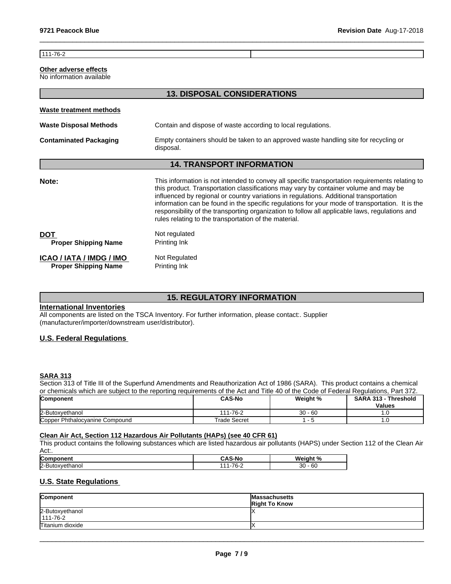$111 - 76 - 2$ 

## **Other adverse effects**

No information available

|                                                         | <b>13. DISPOSAL CONSIDERATIONS</b>                                                                                                                                                                                                                                                                                                                                                                                                                                                                                                              |
|---------------------------------------------------------|-------------------------------------------------------------------------------------------------------------------------------------------------------------------------------------------------------------------------------------------------------------------------------------------------------------------------------------------------------------------------------------------------------------------------------------------------------------------------------------------------------------------------------------------------|
| Waste treatment methods                                 |                                                                                                                                                                                                                                                                                                                                                                                                                                                                                                                                                 |
| <b>Waste Disposal Methods</b>                           | Contain and dispose of waste according to local regulations.                                                                                                                                                                                                                                                                                                                                                                                                                                                                                    |
| <b>Contaminated Packaging</b>                           | Empty containers should be taken to an approved waste handling site for recycling or<br>disposal.                                                                                                                                                                                                                                                                                                                                                                                                                                               |
|                                                         | <b>14. TRANSPORT INFORMATION</b>                                                                                                                                                                                                                                                                                                                                                                                                                                                                                                                |
| Note:                                                   | This information is not intended to convey all specific transportation requirements relating to<br>this product. Transportation classifications may vary by container volume and may be<br>influenced by regional or country variations in regulations. Additional transportation<br>information can be found in the specific regulations for your mode of transportation. It is the<br>responsibility of the transporting organization to follow all applicable laws, regulations and<br>rules relating to the transportation of the material. |
| <b>DOT</b><br><b>Proper Shipping Name</b>               | Not regulated<br>Printing Ink                                                                                                                                                                                                                                                                                                                                                                                                                                                                                                                   |
| ICAO / IATA / IMDG / IMO<br><b>Proper Shipping Name</b> | Not Regulated<br>Printing Ink                                                                                                                                                                                                                                                                                                                                                                                                                                                                                                                   |

 $\_$  ,  $\_$  ,  $\_$  ,  $\_$  ,  $\_$  ,  $\_$  ,  $\_$  ,  $\_$  ,  $\_$  ,  $\_$  ,  $\_$  ,  $\_$  ,  $\_$  ,  $\_$  ,  $\_$  ,  $\_$  ,  $\_$  ,  $\_$  ,  $\_$  ,  $\_$  ,  $\_$  ,  $\_$  ,  $\_$  ,  $\_$  ,  $\_$  ,  $\_$  ,  $\_$  ,  $\_$  ,  $\_$  ,  $\_$  ,  $\_$  ,  $\_$  ,  $\_$  ,  $\_$  ,  $\_$  ,  $\_$  ,  $\_$  ,

# **15. REGULATORY INFORMATION**

## **International Inventories**

All components are listed on the TSCA Inventory. For further information, please contact:. Supplier (manufacturer/importer/downstream user/distributor).

## **U.S. Federal Regulations**

## **SARA 313**

Section 313 of Title III of the Superfund Amendments and Reauthorization Act of 1986 (SARA). This product contains a chemical or chemicals which are subject to the reporting requirements of the Act and Title 40 of the Code of Federal Regulations, Part 372.

| Component                      | <b>CAS-No</b>  | <b>Weight %</b> | <b>SARA</b><br>313<br>⋅Threshold |
|--------------------------------|----------------|-----------------|----------------------------------|
|                                |                |                 | <b>Values</b>                    |
| 2-Butoxvethanol                | 111-76-2       | $30 - 60$       |                                  |
| Copper Phthalocyanine Compound | rade<br>Secret |                 | $\cdot\cdot$                     |

#### **Clean Air Act,Section 112 Hazardous Air Pollutants (HAPs) (see 40 CFR 61)**

This product contains the following substances which are listed hazardous air pollutants (HAPS) under Section 112 of the Clean Air Act:.

| <b>Com</b>                 | $-10$<br>S-No<br>טרע                  | Weight<br>70             |
|----------------------------|---------------------------------------|--------------------------|
| 12-Bu<br>__<br>÷ιr<br>anoi | 70<br>$\overline{A}$<br>.<br>$\cdots$ | $30 -$<br>$\sim$<br>- 60 |

## **U.S. State Regulations**

| Component                         | <b>Massachusetts</b><br><b>Right To Know</b> |
|-----------------------------------|----------------------------------------------|
| 2-Butoxyethanol<br>$111 - 76 - 2$ |                                              |
| Titanium dioxide                  |                                              |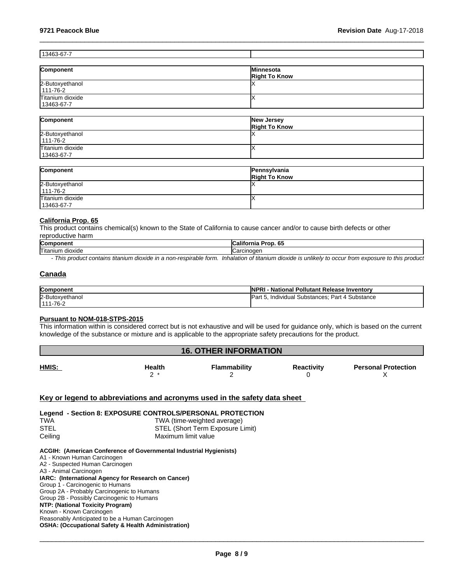## 13463-67-7

| Component        | <b>IMinnesota</b>    |
|------------------|----------------------|
|                  | <b>Right To Know</b> |
| 2-Butoxyethanol  |                      |
| 111-76-2         |                      |
| Titanium dioxide |                      |
| 13463-67-7       |                      |

 $\_$  ,  $\_$  ,  $\_$  ,  $\_$  ,  $\_$  ,  $\_$  ,  $\_$  ,  $\_$  ,  $\_$  ,  $\_$  ,  $\_$  ,  $\_$  ,  $\_$  ,  $\_$  ,  $\_$  ,  $\_$  ,  $\_$  ,  $\_$  ,  $\_$  ,  $\_$  ,  $\_$  ,  $\_$  ,  $\_$  ,  $\_$  ,  $\_$  ,  $\_$  ,  $\_$  ,  $\_$  ,  $\_$  ,  $\_$  ,  $\_$  ,  $\_$  ,  $\_$  ,  $\_$  ,  $\_$  ,  $\_$  ,  $\_$  ,

| Component        | New Jersey<br><b>Right To Know</b> |
|------------------|------------------------------------|
| 2-Butoxyethanol  |                                    |
| 111-76-2         |                                    |
| Titanium dioxide |                                    |
| 13463-67-7       |                                    |

| Component        | Pennsylvania<br><b>Right To Know</b> |
|------------------|--------------------------------------|
| 2-Butoxyethanol  |                                      |
| $111 - 76 - 2$   |                                      |
| Titanium dioxide |                                      |
| 13463-67-7       |                                      |

#### **California Prop. 65**

This product contains chemical(s) known to the State of California to cause cancer and/or to cause birth defects or other reproductive harm

| Com<br>- --                         | $\sim$<br>.<br>. .<br>ma<br>ິ |
|-------------------------------------|-------------------------------|
| Titan<br>dioxide<br>$\cdots$<br>ниг | $- \cdot -$<br>uei            |
|                                     |                               |

*- This product contains titanium dioxide in a non-respirable form. Inhalation of titanium dioxide is unlikely to occur from exposure to this product*

## **Canada**

| <b>Component</b>     | $INP^r$<br>I Pollutant Release Inventorv<br>· National  |
|----------------------|---------------------------------------------------------|
| 2-Butox<br>oxvethano | Substance<br>-<br>ID.<br>Part<br>Individual Substances: |
| $1 - 76 - 2$<br>1111 |                                                         |

#### **Pursuant to NOM-018-STPS-2015**

This information within isconsidered correct but is not exhaustive and will be used for guidance only, which is based on the current knowledge of the substance or mixture and is applicable to the appropriate safety precautions for the product.

#### **16. OTHER INFORMATION HMIS: Health** <sup>2</sup>\* **Flammability** 2 **Reactivity Personal Protection** 0  $\boldsymbol{\mathsf{X}}$  and  $\boldsymbol{\mathsf{X}}$  and  $\boldsymbol{\mathsf{X}}$  and  $\boldsymbol{\mathsf{X}}$  and  $\boldsymbol{\mathsf{X}}$  and  $\boldsymbol{\mathsf{X}}$  and  $\boldsymbol{\mathsf{X}}$  and  $\boldsymbol{\mathsf{X}}$  and  $\boldsymbol{\mathsf{X}}$  and  $\boldsymbol{\mathsf{X}}$  and  $\boldsymbol{\mathsf{X}}$  and  $\boldsymbol{\mathsf{X}}$  and  $\boldsymbol{\mathsf{X}}$  and  $\boldsymbol{\mathsf{X}}$  a

## **Key or legend to abbreviations and acronyms used in the safety data sheet**

## **Legend - Section 8: EXPOSURE CONTROLS/PERSONAL PROTECTION** TWA TWA (time-weighted average) STEL STEL (Short Term Exposure Limit) Ceiling Ceiling Ceiling Ceiling Ceiling Ceiling Ceiling Ceiling Contract Ceiling Ceiling Contract Contract Contract Contract Contract Contract Contract Contract Contract Contract Contract Contract Contract Contract Contrac

#### **ACGIH: (American Conference of Governmental Industrial Hygienists)**

A1 - Known Human Carcinogen A2 - Suspected Human Carcinogen A3 - Animal Carcinogen **IARC: (International Agency for Research on Cancer)** Group 1 - Carcinogenic to Humans Group 2A - Probably Carcinogenic to Humans Group 2B - Possibly Carcinogenic to Humans **NTP: (National Toxicity Program)** Known - Known Carcinogen Reasonably Anticipated to be a Human Carcinogen **OSHA: (Occupational Safety & Health Administration)**